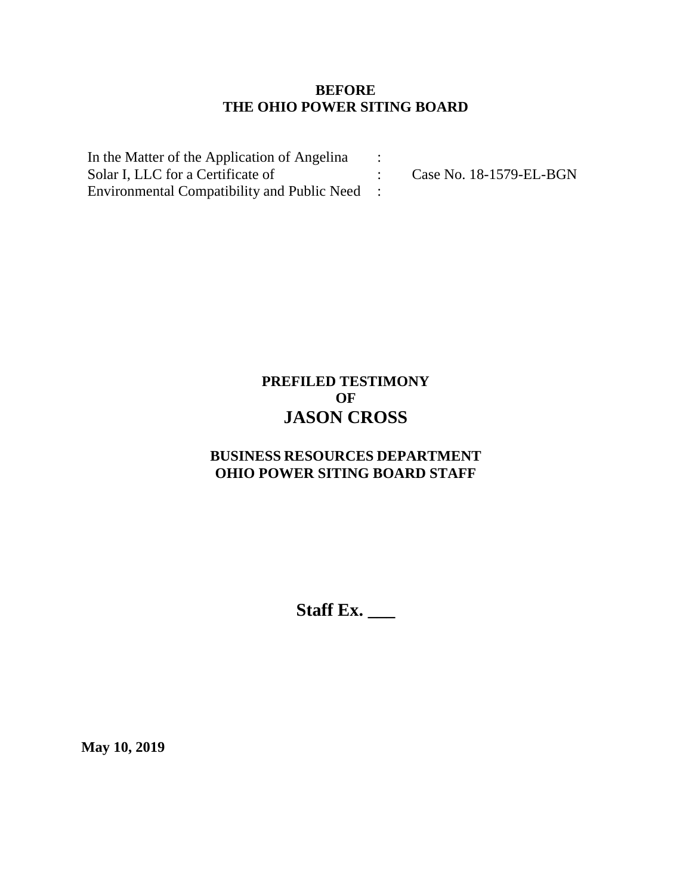## **BEFORE THE OHIO POWER SITING BOARD**

In the Matter of the Application of Angelina Solar I, LLC for a Certificate of Environmental Compatibility and Public Need : : : Case No. 18-1579-EL-BGN

# **PREFILED TESTIMONY OF JASON CROSS**

## **BUSINESS RESOURCES DEPARTMENT OHIO POWER SITING BOARD STAFF**

**Staff Ex. \_\_\_**

**May 10, 2019**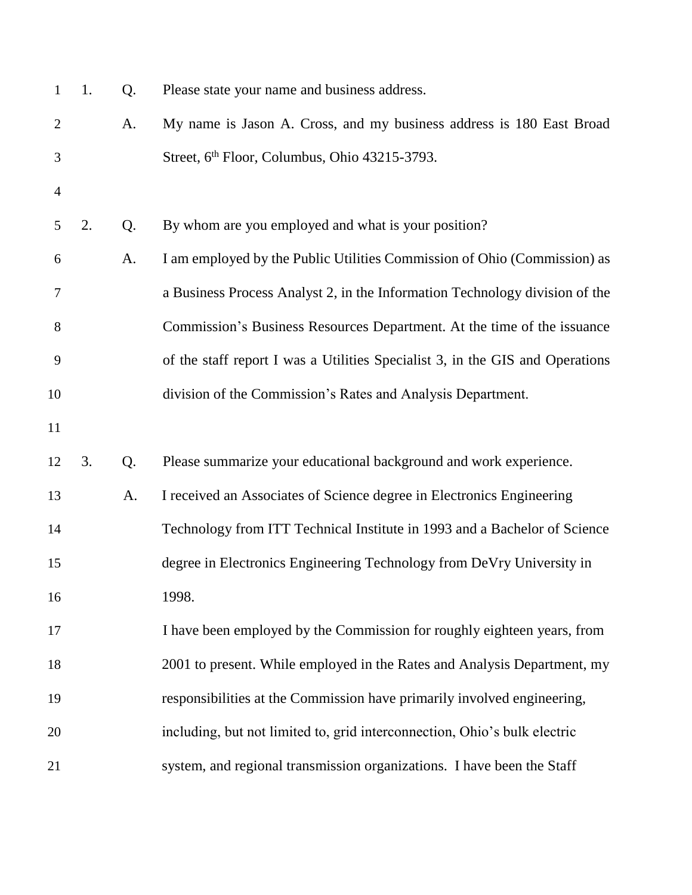| $\mathbf{1}$   | 1. | Q. | Please state your name and business address.                                  |
|----------------|----|----|-------------------------------------------------------------------------------|
| $\overline{2}$ |    | A. | My name is Jason A. Cross, and my business address is 180 East Broad          |
| 3              |    |    | Street, 6 <sup>th</sup> Floor, Columbus, Ohio 43215-3793.                     |
| $\overline{4}$ |    |    |                                                                               |
| 5              | 2. | Q. | By whom are you employed and what is your position?                           |
| 6              |    | A. | I am employed by the Public Utilities Commission of Ohio (Commission) as      |
| 7              |    |    | a Business Process Analyst 2, in the Information Technology division of the   |
| 8              |    |    | Commission's Business Resources Department. At the time of the issuance       |
| 9              |    |    | of the staff report I was a Utilities Specialist 3, in the GIS and Operations |
| 10             |    |    | division of the Commission's Rates and Analysis Department.                   |
| 11             |    |    |                                                                               |
| 12             | 3. | Q. | Please summarize your educational background and work experience.             |
| 13             |    | A. | I received an Associates of Science degree in Electronics Engineering         |
| 14             |    |    | Technology from ITT Technical Institute in 1993 and a Bachelor of Science     |
| 15             |    |    | degree in Electronics Engineering Technology from DeVry University in         |
| 16             |    |    | 1998.                                                                         |
| 17             |    |    | I have been employed by the Commission for roughly eighteen years, from       |
| 18             |    |    | 2001 to present. While employed in the Rates and Analysis Department, my      |
| 19             |    |    | responsibilities at the Commission have primarily involved engineering,       |
| 20             |    |    | including, but not limited to, grid interconnection, Ohio's bulk electric     |
| 21             |    |    | system, and regional transmission organizations. I have been the Staff        |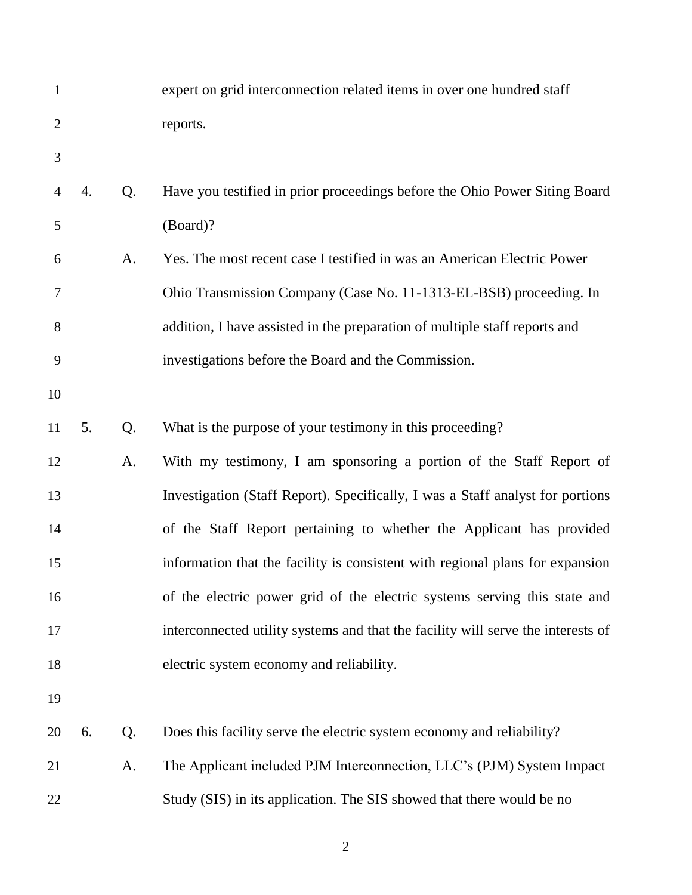| $\mathbf{1}$   |    |    | expert on grid interconnection related items in over one hundred staff           |
|----------------|----|----|----------------------------------------------------------------------------------|
| $\overline{2}$ |    |    | reports.                                                                         |
| 3              |    |    |                                                                                  |
| 4              | 4. | Q. | Have you testified in prior proceedings before the Ohio Power Siting Board       |
| 5              |    |    | (Board)?                                                                         |
| 6              |    | A. | Yes. The most recent case I testified in was an American Electric Power          |
| 7              |    |    | Ohio Transmission Company (Case No. 11-1313-EL-BSB) proceeding. In               |
| $8\,$          |    |    | addition, I have assisted in the preparation of multiple staff reports and       |
| 9              |    |    | investigations before the Board and the Commission.                              |
| 10             |    |    |                                                                                  |
| 11             | 5. | Q. | What is the purpose of your testimony in this proceeding?                        |
| 12             |    | A. | With my testimony, I am sponsoring a portion of the Staff Report of              |
| 13             |    |    | Investigation (Staff Report). Specifically, I was a Staff analyst for portions   |
| 14             |    |    | of the Staff Report pertaining to whether the Applicant has provided             |
| 15             |    |    | information that the facility is consistent with regional plans for expansion    |
| 16             |    |    | of the electric power grid of the electric systems serving this state and        |
| 17             |    |    | interconnected utility systems and that the facility will serve the interests of |
| 18             |    |    | electric system economy and reliability.                                         |
| 19             |    |    |                                                                                  |
| 20             | 6. | Q. | Does this facility serve the electric system economy and reliability?            |
| 21             |    | A. | The Applicant included PJM Interconnection, LLC's (PJM) System Impact            |
| 22             |    |    | Study (SIS) in its application. The SIS showed that there would be no            |
|                |    |    |                                                                                  |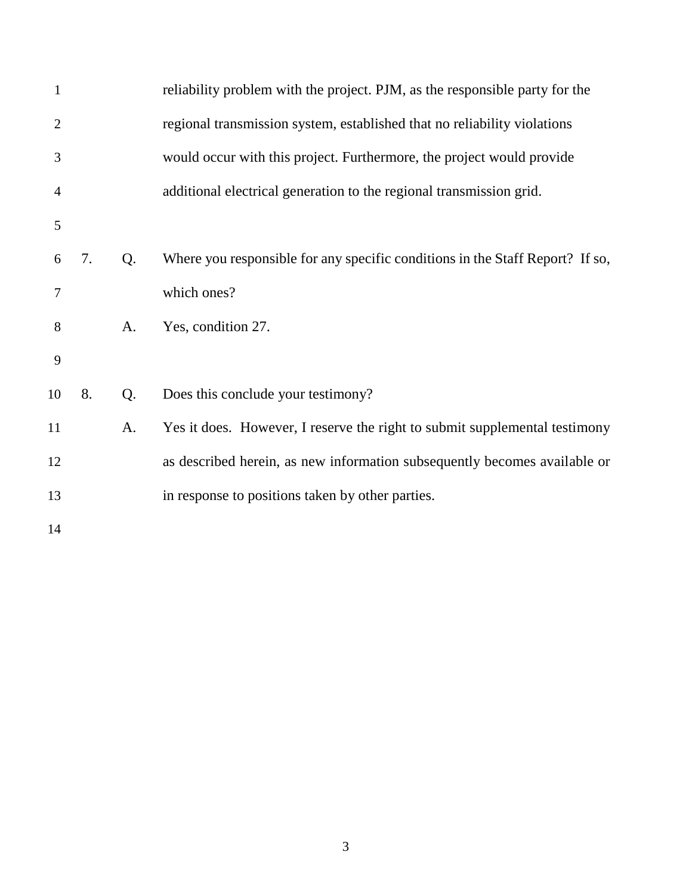| $\mathbf{1}$   |    |    | reliability problem with the project. PJM, as the responsible party for the   |
|----------------|----|----|-------------------------------------------------------------------------------|
| $\overline{2}$ |    |    | regional transmission system, established that no reliability violations      |
| 3              |    |    | would occur with this project. Furthermore, the project would provide         |
| $\overline{4}$ |    |    | additional electrical generation to the regional transmission grid.           |
| 5              |    |    |                                                                               |
| 6              | 7. | Q. | Where you responsible for any specific conditions in the Staff Report? If so, |
| 7              |    |    | which ones?                                                                   |
| 8              |    | A. | Yes, condition 27.                                                            |
| 9              |    |    |                                                                               |
| 10             | 8. | Q. | Does this conclude your testimony?                                            |
| 11             |    | A. | Yes it does. However, I reserve the right to submit supplemental testimony    |
| 12             |    |    | as described herein, as new information subsequently becomes available or     |
| 13             |    |    | in response to positions taken by other parties.                              |
| 14             |    |    |                                                                               |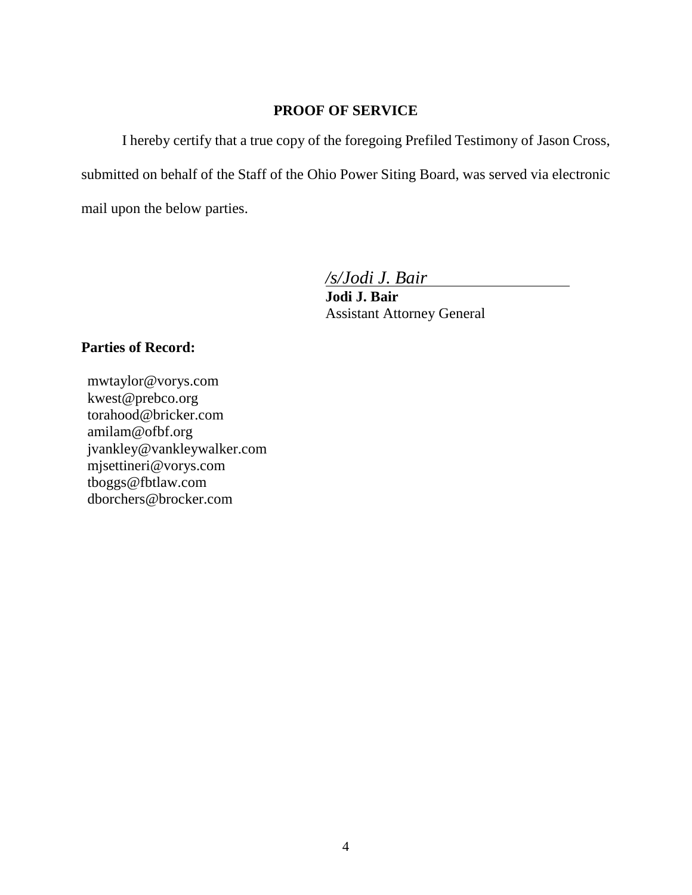#### **PROOF OF SERVICE**

I hereby certify that a true copy of the foregoing Prefiled Testimony of Jason Cross, submitted on behalf of the Staff of the Ohio Power Siting Board, was served via electronic mail upon the below parties.

*/s/Jodi J. Bair*

**Jodi J. Bair** Assistant Attorney General

### **Parties of Record:**

mwtaylor@vorys.com [kwest@prebco.org](mailto:kwest@prebco.org) [torahood@bricker.com](mailto:torahood@bricker.com) [amilam@ofbf.org](mailto:amilam@ofbf.org) [jvankley@vankleywalker.com](mailto:jvankley@vankleywalker.com) [mjsettineri@vorys.com](mailto:mjsettineri@vorys.com) [tboggs@fbtlaw.com](mailto:tboggs@fbtlaw.com) [dborchers@brocker.com](mailto:dborchers@brocker.com)